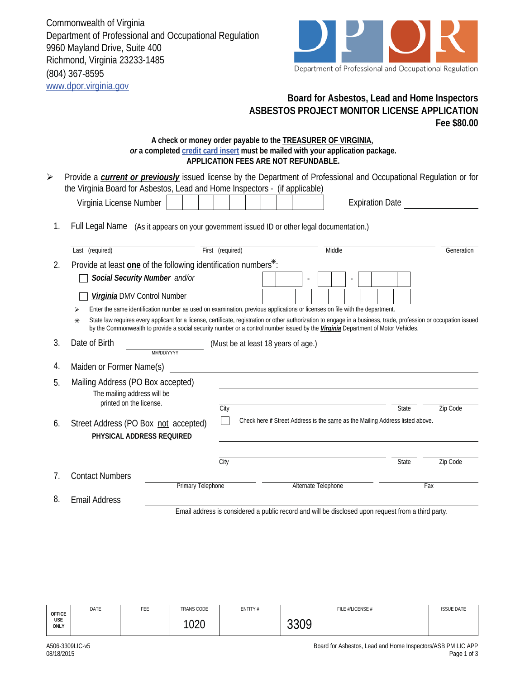Commonwealth of Virginia Department of Professional and Occupational Regulation 9960 Mayland Drive, Suite 400 Richmond, Virginia 23233-1485 (804) 367-8595 www.dpor.virginia.gov

**Virginia DMV Control Number** 



## **Board for Asbestos, Lead and Home Inspectors ASBESTOS PROJECT MONITOR LICENSE APPLICATION Fee \$80.00**

## **A check or money order payable to the TREASURER OF VIRGINIA,**  *or* **a completed credit card insert must be mailed with your application package. APPLICATION FEES ARE NOT REFUNDABLE.**

| ➤ | Provide a <b>current or previously</b> issued license by the Department of Professional and Occupational Regulation or for |                  |                        |            |
|---|----------------------------------------------------------------------------------------------------------------------------|------------------|------------------------|------------|
|   | the Virginia Board for Asbestos, Lead and Home Inspectors - (if applicable)                                                |                  |                        |            |
|   | Virginia License Number                                                                                                    |                  | <b>Expiration Date</b> |            |
|   | Full Legal Name (As it appears on your government issued ID or other legal documentation.)                                 |                  |                        |            |
|   | Last (required)                                                                                                            | First (required) | Middle                 | Generation |
|   | Provide at least one of the following identification numbers*:                                                             |                  |                        |            |
|   | Social Security Number and/or                                                                                              |                  |                        |            |

| Enter the same identification number as used on examination, previous applications or licenses on file with the department. |  |  |  |  |  |
|-----------------------------------------------------------------------------------------------------------------------------|--|--|--|--|--|

State law requires every applicant for a license, certificate, registration or other authorization to engage in a business, trade, profession or occupation issued by the Commonwealth to provide a social security number or a control number issued by the *Virginia* Department of Motor Vehicles. ₹

- -

| 3.                                           | Date of Birth<br>MM/DD/YYYY                                                                 |      | (Must be at least 18 years of age.)                                           |       |          |
|----------------------------------------------|---------------------------------------------------------------------------------------------|------|-------------------------------------------------------------------------------|-------|----------|
| 4.                                           | Maiden or Former Name(s)                                                                    |      |                                                                               |       |          |
| 5.                                           | Mailing Address (PO Box accepted)<br>The mailing address will be<br>printed on the license. | City |                                                                               | State | Zip Code |
| 6.                                           | Street Address (PO Box not accepted)<br>PHYSICAL ADDRESS REQUIRED                           |      | Check here if Street Address is the same as the Mailing Address listed above. |       |          |
|                                              |                                                                                             | City |                                                                               | State | Zip Code |
| $7_{\scriptscriptstyle{\ddot{\phantom{1}}}}$ | <b>Contact Numbers</b>                                                                      |      |                                                                               |       |          |
|                                              | Primary Telephone                                                                           |      | Alternate Telephone                                                           |       | Fax      |
| 8.                                           | <b>Email Address</b>                                                                        |      |                                                                               |       |          |

Email address is considered a public record and will be disclosed upon request from a third party.

|                       | DATE | FEE | TRANS CODE | ENTITY# | FILE #/LICENSE # | <b>ISSUE DATE</b> |
|-----------------------|------|-----|------------|---------|------------------|-------------------|
| OFFICE<br>USE<br>ONLY |      |     | 1020       |         | 3300<br>JJV /    |                   |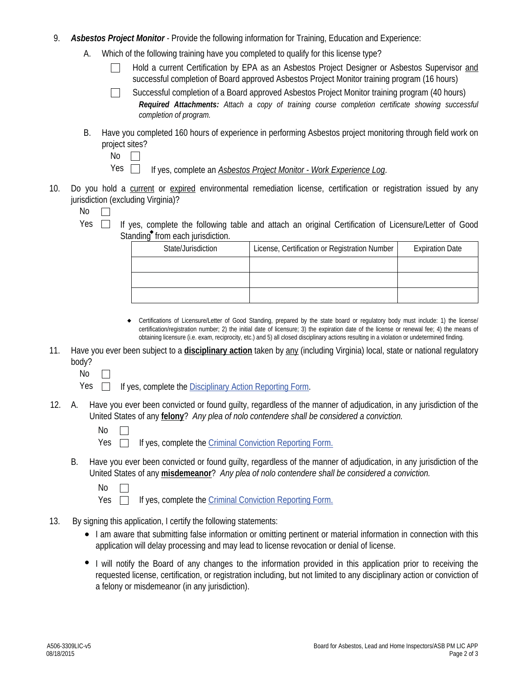- 9. *Asbestos Project Monitor* Provide the following information for Training, Education and Experience:
	- A. Which of the following training have you completed to qualify for this license type?
		- Hold a current Certification by EPA as an Asbestos Project Designer or Asbestos Supervisor and successful completion of Board approved Asbestos Project Monitor training program (16 hours)
		- Successful completion of a Board approved Asbestos Project Monitor training program (40 hours)  $\mathbf{I}$ *Required Attachments: Attach a copy of training course completion certificate showing successful completion of program.*
	- Have you completed 160 hours of experience in performing Asbestos project monitoring through field work on project sites? B.

| ۰.<br>× | ___ |
|---------|-----|
|         |     |

- If yes, complete an *Asbestos Project Monitor Work Experience Log*. Yes  $\Box$
- 10. Do you hold a current or expired environmental remediation license, certification or registration issued by any jurisdiction (excluding Virginia)?

Yes  $\Box$  If yes, complete the following table and attach an original Certification of Licensure/Letter of Good Standing<sup>®</sup> from each jurisdiction.

| State/Jurisdiction | License, Certification or Registration Number | <b>Expiration Date</b> |
|--------------------|-----------------------------------------------|------------------------|
|                    |                                               |                        |
|                    |                                               |                        |
|                    |                                               |                        |

- Certifications of Licensure/Letter of Good Standing, prepared by the state board or regulatory body must include: 1) the license/ certification/registration number; 2) the initial date of licensure; 3) the expiration date of the license or renewal fee; 4) the means of obtaining licensure (i.e. exam, reciprocity, etc.) and 5) all closed disciplinary actions resulting in a violation or undetermined finding.  $\bullet$
- 11. Have you ever been subject to a **disciplinary action** taken by any (including Virginia) local, state or national regulatory body?
	- No  $\Box$

 $Yes \Box$  If yes, complete the Disciplinary Action Reporting Form.

- Have you ever been convicted or found guilty, regardless of the manner of adjudication, in any jurisdiction of the United States of any **felony**? *Any plea of nolo contendere shall be considered a conviction.* 12.
	- No
	- Yes  $\Box$ If yes, complete the Criminal Conviction Reporting Form.
	- B. Have you ever been convicted or found guilty, regardless of the manner of adjudication, in any jurisdiction of the United States of any **misdemeanor**? *Any plea of nolo contendere shall be considered a conviction.*
		- No  $\Box$

Yes  $\Box$ If yes, complete the Criminal Conviction Reporting Form.

- 13. By signing this application, I certify the following statements:
	- I am aware that submitting false information or omitting pertinent or material information in connection with this application will delay processing and may lead to license revocation or denial of license.
	- I will notify the Board of any changes to the information provided in this application prior to receiving the requested license, certification, or registration including, but not limited to any disciplinary action or conviction of a felony or misdemeanor (in any jurisdiction).